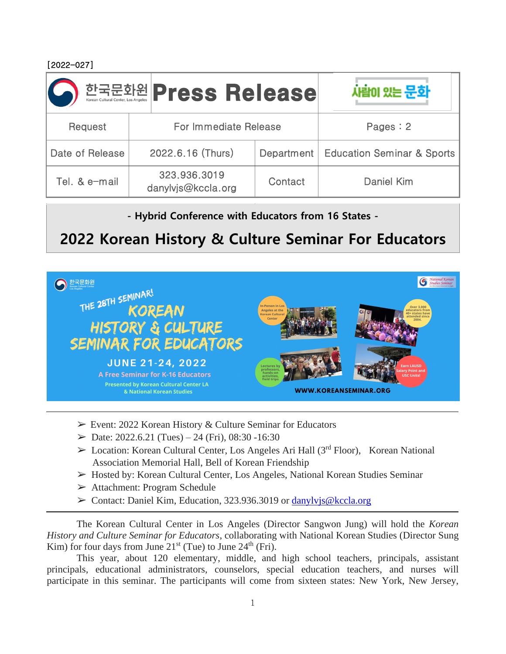[2022-027]

|                 | 한국문화원 Press Release                |         | 사람이 있는 문화                               |
|-----------------|------------------------------------|---------|-----------------------------------------|
| Request         | For Immediate Release              |         | Pages: 2                                |
| Date of Release | 2022.6.16 (Thurs)                  |         | Department   Education Seminar & Sports |
| Tel. & e-mail   | 323.936.3019<br>danylvjs@kccla.org | Contact | Daniel Kim                              |

**- Hybrid Conference with Educators from 16 States -**

## **2022 Korean History & Culture Seminar For Educators**



- ➢ Event: 2022 Korean History & Culture Seminar for Educators
- $\blacktriangleright$  Date: 2022.6.21 (Tues) 24 (Fri), 08:30 -16:30
- $\triangleright$  Location: Korean Cultural Center, Los Angeles Ari Hall (3<sup>rd</sup> Floor), Korean National Association Memorial Hall, Bell of Korean Friendship
- ➢ Hosted by: Korean Cultural Center, Los Angeles, National Korean Studies Seminar
- ➢ Attachment: Program Schedule
- $\geq$  Contact: Daniel Kim, Education, 323.936.3019 or danylyjs@kccla.org

The Korean Cultural Center in Los Angeles (Director Sangwon Jung) will hold the *Korean History and Culture Seminar for Educators*, collaborating with National Korean Studies (Director Sung Kim) for four days from June  $21<sup>st</sup>$  (Tue) to June  $24<sup>th</sup>$  (Fri).

This year, about 120 elementary, middle, and high school teachers, principals, assistant principals, educational administrators, counselors, special education teachers, and nurses will participate in this seminar. The participants will come from sixteen states: New York, New Jersey,